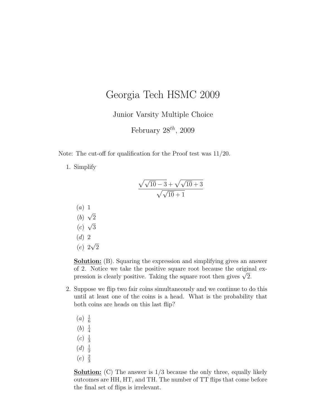## Georgia Tech HSMC 2009

Junior Varsity Multiple Choice

February  $28^{th}$ ,  $2009$ 

Note: The cut-off for qualification for the Proof test was 11/20.

1. Simplify

$$
\frac{\sqrt{\sqrt{10}-3}+\sqrt{\sqrt{10}+3}}{\sqrt{\sqrt{10}+1}}
$$

- (a) 1 √
- (b)  $\overline{2}$  $<sup>•</sup>$ </sup>
- $(c)$ 3
- (d) 2 √
- (e) 2 2

Solution: (B). Squaring the expression and simplifying gives an answer of 2. Notice we take the positive square root because the original exor 2. Notice we take the positive square root because the origin<br>pression is clearly positive. Taking the square root then gives  $\sqrt{2}$ .

- 2. Suppose we flip two fair coins simultaneously and we continue to do this until at least one of the coins is a head. What is the probability that both coins are heads on this last flip?
	- $(a) \frac{1}{6}$ 6  $(b) \frac{1}{4}$ 4  $(c) \frac{1}{3}$ 3  $(d) \frac{1}{2}$ 2
	- $(e) \frac{2}{3}$ 3

**Solution:** (C) The answer is  $1/3$  because the only three, equally likely outcomes are HH, HT, and TH. The number of TT flips that come before the final set of flips is irrelevant.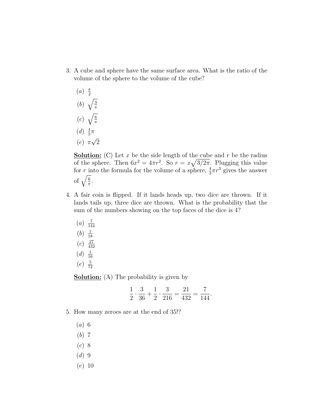- 3. A cube and sphere have the same surface area. What is the ratio of the volume of the sphere to the volume of the cube?
	- $(a) \frac{\pi}{2}$ 2 (b)  $\overline{a}$ 3 π  $(c)$  $\ddot{\phantom{a}}$ 6 π
	- $(d) \frac{4}{3}$  $rac{4}{3}\pi$
	- $(e)$   $\pi$ √ 2

**Solution:** (C) Let x be the side length of the cube and r be the radius of the sphere. Then  $6x^2 = 4\pi r^2$ . So  $r = x\sqrt{3/2\pi}$ . Plugging this value for r into the formula for the volume of a sphere,  $\frac{4}{3}\pi r^3$  gives the answer for  $\frac{1}{\sqrt{\frac{6}{\pi}}}$  $\frac{6}{\pi}$ .

- 4. A fair coin is flipped. If it lands heads up, two dice are thrown. If it lands tails up, three dice are thrown. What is the probability that the sum of the numbers showing on the top faces of the dice is 4?
	- $(a) \frac{7}{14}$ 144  $(b) \frac{1}{18}$ 18  $(c) \frac{27}{436}$ 432  $(d) \frac{1}{16}$ 16  $(e) \frac{5}{76}$ 72

**Solution:** (A) The probability is given by

$$
\frac{1}{2} \cdot \frac{3}{36} + \frac{1}{2} \cdot \frac{3}{216} = \frac{21}{432} = \frac{7}{144}.
$$

- 5. How many zeroes are at the end of 35!?
	- (a) 6
	- (b) 7
	- (c) 8
	- $(d)$  9
	- (e) 10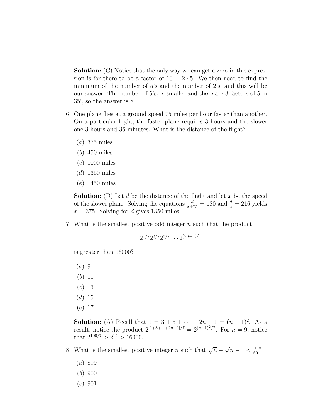**Solution:** (C) Notice that the only way we can get a zero in this expression is for there to be a factor of  $10 = 2 \cdot 5$ . We then need to find the minimum of the number of 5's and the number of 2's, and this will be our answer. The number of 5's, is smaller and there are 8 factors of 5 in 35!, so the answer is 8.

- 6. One plane flies at a ground speed 75 miles per hour faster than another. On a particular flight, the faster plane requires 3 hours and the slower one 3 hours and 36 minutes. What is the distance of the flight?
	- $(a)$  375 miles
	- (b) 450 miles
	- (c) 1000 miles
	- $(d)$  1350 miles
	- (e) 1450 miles

**Solution:** (D) Let d be the distance of the flight and let x be the speed of the slower plane. Solving the equations  $\frac{d}{x+75} = 180$  and  $\frac{d}{x} = 216$  yields  $x = 375$ . Solving for d gives 1350 miles.

7. What is the smallest positive odd integer n such that the product

$$
2^{1/7}2^{3/7}2^{5/7}\cdots 2^{(2n+1)/7}
$$

is greater than 16000?

- $(a)$  9
- (b) 11
- (c) 13
- $(d) 15$
- (e) 17

**Solution:** (A) Recall that  $1 = 3 + 5 + \cdots + 2n + 1 = (n + 1)^2$ . As a result, notice the product  $2^{[1+3+\cdots+2n+1]/7} = 2^{(n+1)^2/7}$ . For  $n = 9$ , notice that  $2^{100/7} > 2^{14} > 16000$ .

8. What is the smallest positive integer *n* such that  $\sqrt{n}$  – √  $\overline{n-1} < \frac{1}{60}$ ?

- (a) 899
- (b) 900
- $(c) 901$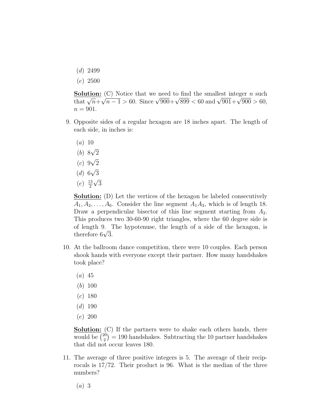- $(d)$  2499
- (e) 2500

**Solution:** (C) Notice that we need to find the smallest integer n such **Solution:** (C) Notice that we need to find the smallest integer *n* such that  $\sqrt{n} + \sqrt{n-1} > 60$ . Since  $\sqrt{900} + \sqrt{899} < 60$  and  $\sqrt{901} + \sqrt{900} > 60$ ,  $n = 901$ .

- 9. Opposite sides of a regular hexagon are 18 inches apart. The length of each side, in inches is:
	- $(a) 10$ √
	- (b) 8 2 √
	- $(c)$  9 2 √
	- $(d)$  6 3 √
	- $(e) \frac{13}{2}$ 2 3

**Solution:** (D) Let the vertices of the hexagon be labeled consecutively  $A_1, A_2, \ldots, A_6$ . Consider the line segment  $A_1A_3$ , which is of length 18. Draw a perpendicular bisector of this line segment starting from  $A_2$ . This produces two 30-60-90 right triangles, where the 60 degree side is of length 9. The hypotenuse, the length of a side of the hexagon, is or length 9.<br>therefore 6√3.

- 10. At the ballroom dance competition, there were 10 couples. Each person shook hands with everyone except their partner. How many handshakes took place?
	- $(a)$  45
	- (b) 100
	- $(c)$  180
	- $(d)$  190
	- (e) 200

**Solution:** (C) If the partners were to shake each others hands, there **Solution:**  $\binom{20}{3}$  $\binom{20}{2}$  = 190 handshakes. Subtracting the 10 partner handshakes that did not occur leaves 180.

11. The average of three positive integers is 5. The average of their reciprocals is 17/72. Their product is 96. What is the median of the three numbers?

(a) 3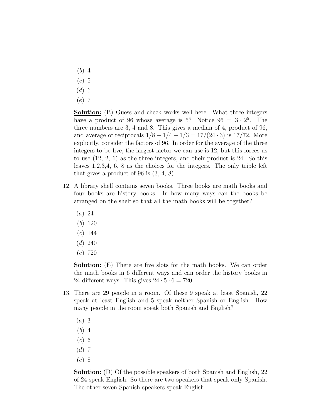- (b) 4
- $(c)$  5
- $(d)$  6
- (e) 7

Solution: (B) Guess and check works well here. What three integers have a product of 96 whose average is 5? Notice  $96 = 3 \cdot 2^5$ . The three numbers are 3, 4 and 8. This gives a median of 4, product of 96, and average of reciprocals  $1/8 + 1/4 + 1/3 = 17/(24 \cdot 3)$  is 17/72. More explicitly, consider the factors of 96. In order for the average of the three integers to be five, the largest factor we can use is 12, but this forces us to use (12, 2, 1) as the three integers, and their product is 24. So this leaves 1,2,3,4, 6, 8 as the choices for the integers. The only triple left that gives a product of 96 is (3, 4, 8).

- 12. A library shelf contains seven books. Three books are math books and four books are history books. In how many ways can the books be arranged on the shelf so that all the math books will be together?
	- (a) 24
	- (b) 120
	- $(c)$  144
	- $(d)$  240
	- (e) 720

Solution: (E) There are five slots for the math books. We can order the math books in 6 different ways and can order the history books in 24 different ways. This gives  $24 \cdot 5 \cdot 6 = 720$ .

- 13. There are 29 people in a room. Of these 9 speak at least Spanish, 22 speak at least English and 5 speak neither Spanish or English. How many people in the room speak both Spanish and English?
	- (a) 3
	- (b) 4
	- $(c)$  6
	- $(d)$  7
	- (e) 8

Solution: (D) Of the possible speakers of both Spanish and English, 22 of 24 speak English. So there are two speakers that speak only Spanish. The other seven Spanish speakers speak English.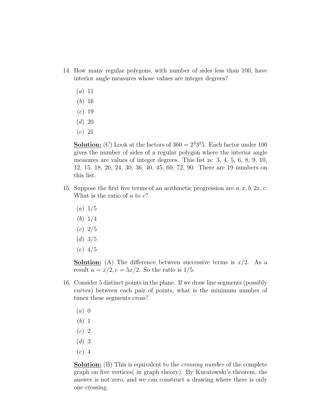- 14. How many regular polygons, with number of sides less than 100, have interior angle measures whose values are integer degrees?
	- $(a) 11$
	- (b) 16
	- $(c) 19$
	- $(d) 20$
	- (e) 21

**Solution:** (C) Look at the factors of  $360 = 2^3 3^2 5$ . Each factor under 100 gives the number of sides of a regular polygon where the interior angle measures are values of integer degrees. This list is: 3, 4, 5, 6, 8, 9, 10, 12, 15, 18, 20, 24, 30, 36, 40, 45, 60, 72, 90. There are 19 numbers on this list.

- 15. Suppose the first five terms of an arithmetic progression are  $a, x, b, 2x, c$ . What is the ratio of  $a$  to  $c$ ?
	- $(a) 1/5$
	- (b) 1/4
	- $(c) 2/5$
	- $(d)$  3/5
	- (e) 4/5

**Solution:** (A) The difference between successive terms is  $x/2$ . As a result  $a = x/2, e = 5x/2$ . So the ratio is 1/5.

- 16. Consider 5 distinct points in the plane. If we draw line segments (possibly curves) between each pair of points, what is the minimum number of times these segments cross?
	- $(a)$  0
	- (b) 1
	- $(c)$  2
	- (d) 3
	- (e) 4

**Solution:** (B) This is equivalent to the *crossing number* of the complete graph on five vertices( in graph theory). By Kuratowski's theorem, the answer is not zero, and we can construct a drawing where there is only one crossing.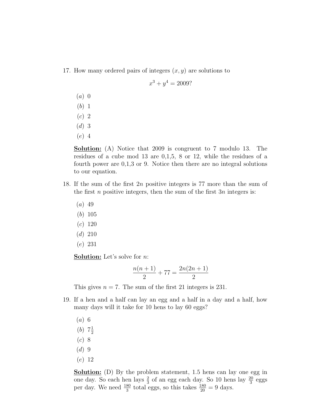17. How many ordered pairs of integers  $(x, y)$  are solutions to

$$
x^3 + y^4 = 2009?
$$

- $(a)$  0
- (b) 1
- $(c)$  2
- $(d)$  3
- (e) 4

Solution: (A) Notice that 2009 is congruent to 7 modulo 13. The residues of a cube mod 13 are 0,1,5, 8 or 12, while the residues of a fourth power are 0,1,3 or 9. Notice then there are no integral solutions to our equation.

- 18. If the sum of the first 2n positive integers is 77 more than the sum of the first  $n$  positive integers, then the sum of the first  $3n$  integers is:
	- $(a)$  49
	- (b) 105
	- (c) 120
	- $(d)$  210
	- (e) 231

Solution: Let's solve for *n*:

$$
\frac{n(n+1)}{2} + 77 = \frac{2n(2n+1)}{2}
$$

This gives  $n = 7$ . The sum of the first 21 integers is 231.

- 19. If a hen and a half can lay an egg and a half in a day and a half, how many days will it take for 10 hens to lay 60 eggs?
	- (a) 6
	- $(b)$  7 $\frac{1}{2}$ 2
	- $(c)$  8
	- $(d)$  9
	- (e) 12

**Solution:** (D) By the problem statement, 1.5 hens can lay one egg in one day. So each hen lays  $\frac{2}{3}$  of an egg each day. So 10 hens lay  $\frac{20}{3}$  eggs per day. We need  $\frac{180}{3}$  total eggs, so this takes  $\frac{180}{20} = 9$  days.